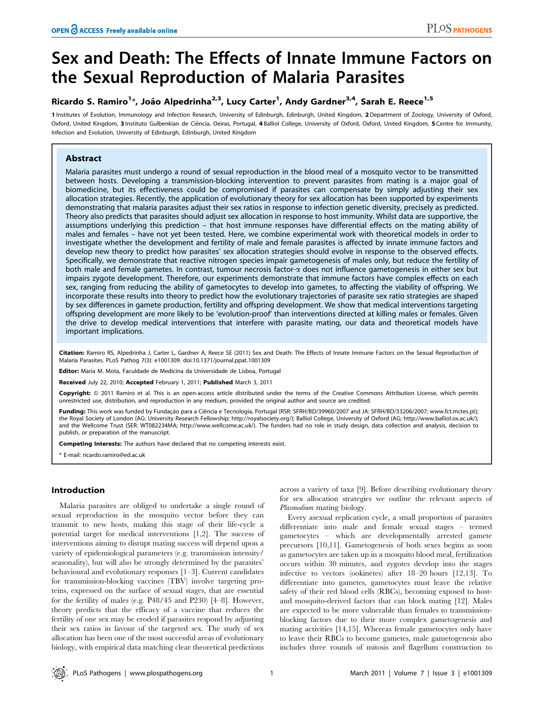# Sex and Death: The Effects of Innate Immune Factors on the Sexual Reproduction of Malaria Parasites

# Ricardo S. Ramiro<sup>1\*</sup>, João Alpedrinha<sup>2,3</sup>, Lucy Carter<sup>1</sup>, Andy Gardner<sup>3,4</sup>, Sarah E. Reece<sup>1,5</sup>

1 Institutes of Evolution, Immunology and Infection Research, University of Edinburgh, Edinburgh, United Kingdom, 2 Department of Zoology, University of Oxford, Oxford, United Kingdom, 3 Instituto Gulbenkian de Ciência, Oeiras, Portugal, 4 Balliol College, University of Oxford, Oxford, United Kingdom, 5 Centre for Immunity, Infection and Evolution, University of Edinburgh, Edinburgh, United Kingdom

# Abstract

Malaria parasites must undergo a round of sexual reproduction in the blood meal of a mosquito vector to be transmitted between hosts. Developing a transmission-blocking intervention to prevent parasites from mating is a major goal of biomedicine, but its effectiveness could be compromised if parasites can compensate by simply adjusting their sex allocation strategies. Recently, the application of evolutionary theory for sex allocation has been supported by experiments demonstrating that malaria parasites adjust their sex ratios in response to infection genetic diversity, precisely as predicted. Theory also predicts that parasites should adjust sex allocation in response to host immunity. Whilst data are supportive, the assumptions underlying this prediction – that host immune responses have differential effects on the mating ability of males and females – have not yet been tested. Here, we combine experimental work with theoretical models in order to investigate whether the development and fertility of male and female parasites is affected by innate immune factors and develop new theory to predict how parasites' sex allocation strategies should evolve in response to the observed effects. Specifically, we demonstrate that reactive nitrogen species impair gametogenesis of males only, but reduce the fertility of both male and female gametes. In contrast, tumour necrosis factor-a does not influence gametogenesis in either sex but impairs zygote development. Therefore, our experiments demonstrate that immune factors have complex effects on each sex, ranging from reducing the ability of gametocytes to develop into gametes, to affecting the viability of offspring. We incorporate these results into theory to predict how the evolutionary trajectories of parasite sex ratio strategies are shaped by sex differences in gamete production, fertility and offspring development. We show that medical interventions targeting offspring development are more likely to be 'evolution-proof' than interventions directed at killing males or females. Given the drive to develop medical interventions that interfere with parasite mating, our data and theoretical models have important implications.

Citation: Ramiro RS, Alpedrinha J, Carter L, Gardner A, Reece SE (2011) Sex and Death: The Effects of Innate Immune Factors on the Sexual Reproduction of Malaria Parasites. PLoS Pathog 7(3): e1001309. doi:10.1371/journal.ppat.1001309

Editor: Maria M. Mota, Faculdade de Medicina da Universidade de Lisboa, Portugal

Received July 22, 2010; Accepted February 1, 2011; Published March 3, 2011

**Copyright:** © 2011 Ramiro et al. This is an open-access article distributed under the terms of the Creative Commons Attribution License, which permits unrestricted use, distribution, and reproduction in any medium, provided the original author and source are credited.

Funding: This work was funded by Fundação para a Ciência e Tecnologia, Portugal (RSR: SFRH/BD/39960/2007 and JA: SFRH/BD/33206/2007; www.fct.mctes.pt); the Royal Society of London (AG: University Research Fellowship; http://royalsociety.org/); Balliol College, University of Oxford (AG; http://www.balliol.ox.ac.uk/); and the Wellcome Trust (SER: WT082234MA; http://www.wellcome.ac.uk/). The funders had no role in study design, data collection and analysis, decision to publish, or preparation of the manuscript.

Competing Interests: The authors have declared that no competing interests exist.

\* E-mail: ricardo.ramiro@ed.ac.uk

# Introduction

Malaria parasites are obliged to undertake a single round of sexual reproduction in the mosquito vector before they can transmit to new hosts, making this stage of their life-cycle a potential target for medical interventions [1,2]. The success of interventions aiming to disrupt mating success will depend upon a variety of epidemiological parameters (e.g. transmission intensity/ seasonality), but will also be strongly determined by the parasites' behavioural and evolutionary responses [1–3]. Current candidates for transmission-blocking vaccines (TBV) involve targeting proteins, expressed on the surface of sexual stages, that are essential for the fertility of males (e.g. P48/45 and P230) [4–8]. However, theory predicts that the efficacy of a vaccine that reduces the fertility of one sex may be eroded if parasites respond by adjusting their sex ratios in favour of the targeted sex. The study of sex allocation has been one of the most successful areas of evolutionary biology, with empirical data matching clear theoretical predictions

across a variety of taxa [9]. Before describing evolutionary theory for sex allocation strategies we outline the relevant aspects of Plasmodium mating biology.

Every asexual replication cycle, a small proportion of parasites differentiate into male and female sexual stages – termed gametocytes – which are developmentally arrested gamete precursors [10,11]. Gametogenesis of both sexes begins as soon as gametocytes are taken up in a mosquito blood meal, fertilization occurs within 30 minutes, and zygotes develop into the stages infective to vectors (ookinetes) after 18–20 hours [12,13]. To differentiate into gametes, gametocytes must leave the relative safety of their red blood cells (RBCs), becoming exposed to hostand mosquito-derived factors that can block mating [12]. Males are expected to be more vulnerable than females to transmissionblocking factors due to their more complex gametogenesis and mating activities [14,15]. Whereas female gametocytes only have to leave their RBCs to become gametes, male gametogenesis also includes three rounds of mitosis and flagellum construction to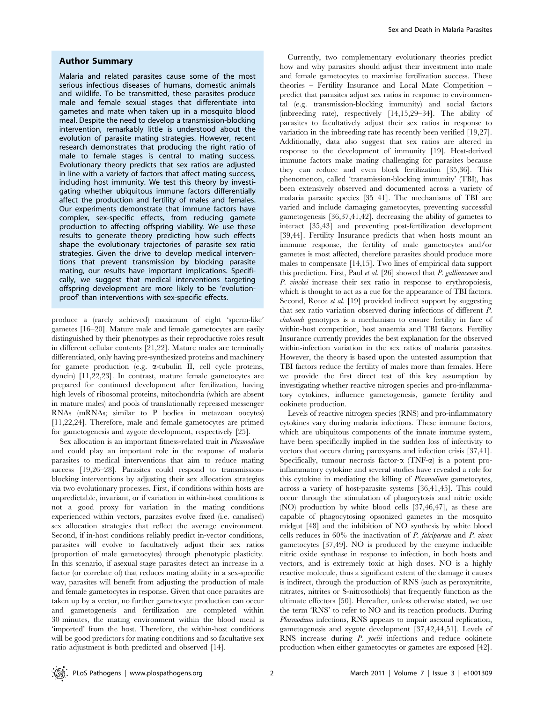# Author Summary

Malaria and related parasites cause some of the most serious infectious diseases of humans, domestic animals and wildlife. To be transmitted, these parasites produce male and female sexual stages that differentiate into gametes and mate when taken up in a mosquito blood meal. Despite the need to develop a transmission-blocking intervention, remarkably little is understood about the evolution of parasite mating strategies. However, recent research demonstrates that producing the right ratio of male to female stages is central to mating success. Evolutionary theory predicts that sex ratios are adjusted in line with a variety of factors that affect mating success, including host immunity. We test this theory by investigating whether ubiquitous immune factors differentially affect the production and fertility of males and females. Our experiments demonstrate that immune factors have complex, sex-specific effects, from reducing gamete production to affecting offspring viability. We use these results to generate theory predicting how such effects shape the evolutionary trajectories of parasite sex ratio strategies. Given the drive to develop medical interventions that prevent transmission by blocking parasite mating, our results have important implications. Specifically, we suggest that medical interventions targeting offspring development are more likely to be 'evolutionproof' than interventions with sex-specific effects.

produce a (rarely achieved) maximum of eight 'sperm-like' gametes [16–20]. Mature male and female gametocytes are easily distinguished by their phenotypes as their reproductive roles result in different cellular contents [21,22]. Mature males are terminally differentiated, only having pre-synthesized proteins and machinery for gamete production (e.g.  $\alpha$ -tubulin II, cell cycle proteins, dynein) [11,22,23]. In contrast, mature female gametocytes are prepared for continued development after fertilization, having high levels of ribosomal proteins, mitochondria (which are absent in mature males) and pools of translationally repressed messenger RNAs (mRNAs; similar to P bodies in metazoan oocytes) [11,22,24]. Therefore, male and female gametocytes are primed for gametogenesis and zygote development, respectively [25].

Sex allocation is an important fitness-related trait in Plasmodium and could play an important role in the response of malaria parasites to medical interventions that aim to reduce mating success [19,26–28]. Parasites could respond to transmissionblocking interventions by adjusting their sex allocation strategies via two evolutionary processes. First, if conditions within hosts are unpredictable, invariant, or if variation in within-host conditions is not a good proxy for variation in the mating conditions experienced within vectors, parasites evolve fixed (i.e. canalised) sex allocation strategies that reflect the average environment. Second, if in-host conditions reliably predict in-vector conditions, parasites will evolve to facultatively adjust their sex ratios (proportion of male gametocytes) through phenotypic plasticity. In this scenario, if asexual stage parasites detect an increase in a factor (or correlate of) that reduces mating ability in a sex-specific way, parasites will benefit from adjusting the production of male and female gametocytes in response. Given that once parasites are taken up by a vector, no further gametocyte production can occur and gametogenesis and fertilization are completed within 30 minutes, the mating environment within the blood meal is 'imported' from the host. Therefore, the within-host conditions will be good predictors for mating conditions and so facultative sex ratio adjustment is both predicted and observed [14].

Currently, two complementary evolutionary theories predict how and why parasites should adjust their investment into male and female gametocytes to maximise fertilization success. These theories – Fertility Insurance and Local Mate Competition – predict that parasites adjust sex ratios in response to environmental (e.g. transmission-blocking immunity) and social factors (inbreeding rate), respectively [14,15,29–34]. The ability of parasites to facultatively adjust their sex ratios in response to variation in the inbreeding rate has recently been verified [19,27]. Additionally, data also suggest that sex ratios are altered in response to the development of immunity [19]. Host-derived immune factors make mating challenging for parasites because they can reduce and even block fertilization [35,36]. This phenomenon, called 'transmission-blocking immunity' (TBI), has been extensively observed and documented across a variety of malaria parasite species [35–41]. The mechanisms of TBI are varied and include damaging gametocytes, preventing successful gametogenesis [36,37,41,42], decreasing the ability of gametes to interact [35,43] and preventing post-fertilization development [39,44]. Fertility Insurance predicts that when hosts mount an immune response, the fertility of male gametocytes and/or gametes is most affected, therefore parasites should produce more males to compensate [14,15]. Two lines of empirical data support this prediction. First, Paul et al. [26] showed that P. gallinaceum and P. vinckei increase their sex ratio in response to erythropoiesis, which is thought to act as a cue for the appearance of TBI factors. Second, Reece et al. [19] provided indirect support by suggesting that sex ratio variation observed during infections of different P. chabaudi genotypes is a mechanism to ensure fertility in face of within-host competition, host anaemia and TBI factors. Fertility Insurance currently provides the best explanation for the observed within-infection variation in the sex ratios of malaria parasites. However, the theory is based upon the untested assumption that TBI factors reduce the fertility of males more than females. Here we provide the first direct test of this key assumption by investigating whether reactive nitrogen species and pro-inflammatory cytokines, influence gametogenesis, gamete fertility and ookinete production.

Levels of reactive nitrogen species (RNS) and pro-inflammatory cytokines vary during malaria infections. These immune factors, which are ubiquitous components of the innate immune system, have been specifically implied in the sudden loss of infectivity to vectors that occurs during paroxysms and infection crisis [37,41]. Specifically, tumour necrosis factor- $\alpha$  (TNF- $\alpha$ ) is a potent proinflammatory cytokine and several studies have revealed a role for this cytokine in mediating the killing of Plasmodium gametocytes, across a variety of host-parasite systems [36,41,45]. This could occur through the stimulation of phagocytosis and nitric oxide (NO) production by white blood cells [37,46,47], as these are capable of phagocytosing opsonized gametes in the mosquito midgut [48] and the inhibition of NO synthesis by white blood cells reduces in 60% the inactivation of P. falciparum and P. vivax gametocytes [37,49]. NO is produced by the enzyme inducible nitric oxide synthase in response to infection, in both hosts and vectors, and is extremely toxic at high doses. NO is a highly reactive molecule, thus a significant extent of the damage it causes is indirect, through the production of RNS (such as peroxynitrite, nitrates, nitrites or S-nitrosothiols) that frequently function as the ultimate effectors [50]. Hereafter, unless otherwise stated, we use the term 'RNS' to refer to NO and its reaction products. During Plasmodium infections, RNS appears to impair asexual replication, gametogenesis and zygote development [37,42,44,51]. Levels of RNS increase during P. yoelii infections and reduce ookinete production when either gametocytes or gametes are exposed [42].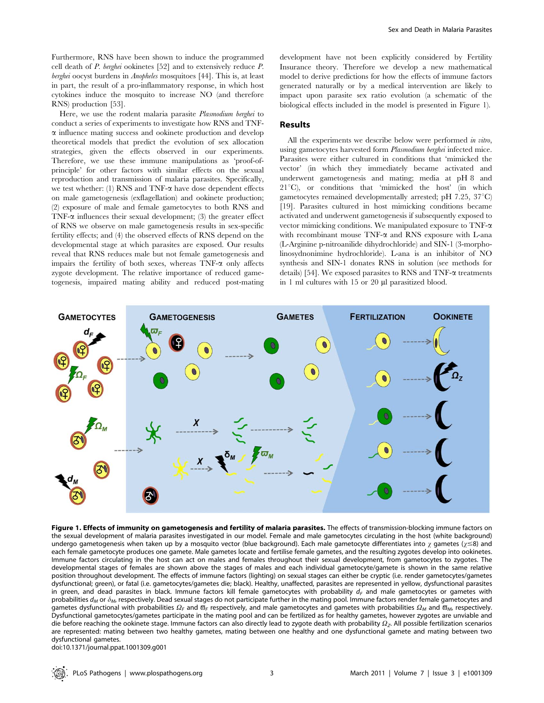Furthermore, RNS have been shown to induce the programmed cell death of P. berghei ookinetes [52] and to extensively reduce P. berghei oocyst burdens in Anopheles mosquitoes [44]. This is, at least in part, the result of a pro-inflammatory response, in which host cytokines induce the mosquito to increase NO (and therefore RNS) production [53].

Here, we use the rodent malaria parasite Plasmodium berghei to conduct a series of experiments to investigate how RNS and TNFa influence mating success and ookinete production and develop theoretical models that predict the evolution of sex allocation strategies, given the effects observed in our experiments. Therefore, we use these immune manipulations as 'proof-ofprinciple' for other factors with similar effects on the sexual reproduction and transmission of malaria parasites. Specifically, we test whether: (1) RNS and TNF- $\alpha$  have dose dependent effects on male gametogenesis (exflagellation) and ookinete production; (2) exposure of male and female gametocytes to both RNS and TNF- $\alpha$  influences their sexual development; (3) the greater effect of RNS we observe on male gametogenesis results in sex-specific fertility effects; and (4) the observed effects of RNS depend on the developmental stage at which parasites are exposed. Our results reveal that RNS reduces male but not female gametogenesis and impairs the fertility of both sexes, whereas  $TNF-\alpha$  only affects zygote development. The relative importance of reduced gametogenesis, impaired mating ability and reduced post-mating development have not been explicitly considered by Fertility Insurance theory. Therefore we develop a new mathematical model to derive predictions for how the effects of immune factors generated naturally or by a medical intervention are likely to impact upon parasite sex ratio evolution (a schematic of the biological effects included in the model is presented in Figure 1).

# Results

All the experiments we describe below were performed in vitro, using gametocytes harvested form Plasmodium berghei infected mice. Parasites were either cultured in conditions that 'mimicked the vector' (in which they immediately became activated and underwent gametogenesis and mating; media at pH 8 and  $21^{\circ}$ C), or conditions that 'mimicked the host' (in which gametocytes remained developmentally arrested; pH 7.25,  $37^{\circ}$ C) [19]. Parasites cultured in host mimicking conditions became activated and underwent gametogenesis if subsequently exposed to vector mimicking conditions. We manipulated exposure to TNF-a with recombinant mouse  $TNF-\alpha$  and RNS exposure with L-ana (L-Arginine p-nitroanilide dihydrochloride) and SIN-1 (3-morpholinosydnonimine hydrochloride). L-ana is an inhibitor of NO synthesis and SIN-1 donates RNS in solution (see methods for details) [54]. We exposed parasites to RNS and TNF-a treatments in 1 ml cultures with  $15$  or  $20 \mu l$  parasitized blood.



Figure 1. Effects of immunity on gametogenesis and fertility of malaria parasites. The effects of transmission-blocking immune factors on the sexual development of malaria parasites investigated in our model. Female and male gametocytes circulating in the host (white background) undergo gametogenesis when taken up by a mosquito vector (blue background). Each male gametocyte differentiates into  $\chi$  gametes ( $\chi \le 8$ ) and each female gametocyte produces one gamete. Male gametes locate and fertilise female gametes, and the resulting zygotes develop into ookinetes. Immune factors circulating in the host can act on males and females throughout their sexual development, from gametocytes to zygotes. The developmental stages of females are shown above the stages of males and each individual gametocyte/gamete is shown in the same relative position throughout development. The effects of immune factors (lighting) on sexual stages can either be cryptic (i.e. render gametocytes/gametes dysfunctional; green), or fatal (i.e. gametocytes/gametes die; black). Healthy, unaffected, parasites are represented in yellow, dysfunctional parasites in green, and dead parasites in black. Immune factors kill female gametocytes with probability  $d_F$  and male gametocytes or gametes with probabilities  $d_M$  or  $\delta_M$ , respectively. Dead sexual stages do not participate further in the mating pool. Immune factors render female gametocytes and gametes dysfunctional with probabilities  $\Omega_F$  and  $\overline{\omega}_F$  respectively, and male gametocytes and gametes with probabilities  $\Omega_M$  and  $\overline{\omega}_M$ , respectively. Dysfunctional gametocytes/gametes participate in the mating pool and can be fertilized as for healthy gametes, however zygotes are unviable and die before reaching the ookinete stage. Immune factors can also directly lead to zygote death with probability  $\Omega_z$ . All possible fertilization scenarios are represented: mating between two healthy gametes, mating between one healthy and one dysfunctional gamete and mating between two dysfunctional gametes.

doi:10.1371/journal.ppat.1001309.g001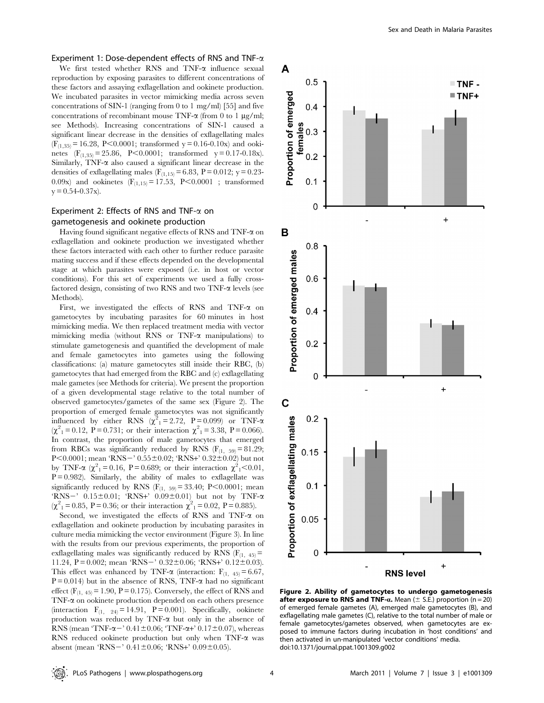# Experiment 1: Dose-dependent effects of RNS and TNF- $\alpha$

We first tested whether RNS and TNF- $\alpha$  influence sexual reproduction by exposing parasites to different concentrations of these factors and assaying exflagellation and ookinete production. We incubated parasites in vector mimicking media across seven concentrations of SIN-1 (ranging from 0 to 1 mg/ml) [55] and five concentrations of recombinant mouse TNF- $\alpha$  (from 0 to 1  $\mu$ g/ml; see Methods). Increasing concentrations of SIN-1 caused a significant linear decrease in the densities of exflagellating males  $(F<sub>(1,35)</sub> = 16.28, P<0.0001;$  transformed y = 0.16-0.10x) and ookinetes  $(F_{(1,35)} = 25.86, P < 0.0001;$  transformed y = 0.17-0.18x). Similarly, TNF- $\alpha$  also caused a significant linear decrease in the densities of exflagellating males ( $F_{(1,15)} = 6.83$ ,  $P = 0.012$ ; y = 0.23-0.09x) and ookinetes  $(F_{(1,15)} = 17.53, P < 0.0001$ ; transformed  $y = 0.54 - 0.37x$ .

# Experiment 2: Effects of RNS and TNF- $\alpha$  on gametogenesis and ookinete production

Having found significant negative effects of RNS and TNF- $\alpha$  on exflagellation and ookinete production we investigated whether these factors interacted with each other to further reduce parasite mating success and if these effects depended on the developmental stage at which parasites were exposed (i.e. in host or vector conditions). For this set of experiments we used a fully crossfactored design, consisting of two RNS and two  $TNF-\alpha$  levels (see Methods).

First, we investigated the effects of RNS and TNF- $\alpha$  on gametocytes by incubating parasites for 60 minutes in host mimicking media. We then replaced treatment media with vector mimicking media (without RNS or TNF- $\alpha$  manipulations) to stimulate gametogenesis and quantified the development of male and female gametocytes into gametes using the following classifications: (a) mature gametocytes still inside their RBC, (b) gametocytes that had emerged from the RBC and (c) exflagellating male gametes (see Methods for criteria). We present the proportion of a given developmental stage relative to the total number of observed gametocytes/gametes of the same sex (Figure 2). The proportion of emerged female gametocytes was not significantly influenced by either RNS  $(\chi^2)^2 = 2.72$ , P = 0.099) or TNF- $\alpha$  $(\chi^2_1 = 0.12, P = 0.731;$  or their interaction  $\chi^2_1 = 3.38, P = 0.066$ ). In contrast, the proportion of male gametocytes that emerged from RBCs was significantly reduced by RNS  $(F_{(1, 59)} = 81.29;$ P $< 0.0001$ ; mean 'RNS $-$ ' 0.55 $\pm$ 0.02; 'RNS+' 0.32 $\pm$ 0.02) but not by TNF- $\alpha$  ( $\chi^2$ <sub>1</sub> = 0.16, P = 0.689; or their interaction  $\chi^2$ <sub>1</sub> < 0.01,  $P = 0.982$ . Similarly, the ability of males to exflagellate was significantly reduced by RNS  $(F_{(1, 59)} = 33.40; P \le 0.0001;$  mean 'RNS-' 0.15±0.01; 'RNS+' 0.09±0.01) but not by TNF- $\alpha$  $(\chi^2_1 = 0.85, P = 0.36;$  or their interaction  $\chi^2_1 = 0.02, P = 0.885$ ).

Second, we investigated the effects of RNS and TNF- $\alpha$  on exflagellation and ookinete production by incubating parasites in culture media mimicking the vector environment (Figure 3). In line with the results from our previous experiments, the proportion of exflagellating males was significantly reduced by RNS  $(F_{(1, 45)} =$ 11.24, P = 0.002; mean 'RNS - ' 0.32±0.06; 'RNS+' 0.12±0.03). This effect was enhanced by TNF- $\alpha$  (interaction:  $F_{(1, 45)} = 6.67$ ,  $P = 0.014$ ) but in the absence of RNS, TNF- $\alpha$  had no significant effect ( $F_{(1, 45)} = 1.90$ ,  $P = 0.175$ ). Conversely, the effect of RNS and TNF-a on ookinete production depended on each others presence (interaction  $F_{(1, 24)} = 14.91$ ,  $P = 0.001$ ). Specifically, ookinete production was reduced by TNF- $\alpha$  but only in the absence of RNS (mean 'TNF- $\alpha$ <sup>-</sup>' 0.41±0.06; 'TNF- $\alpha$ +' 0.17±0.07), whereas RNS reduced ookinete production but only when  $TNF-\alpha$  was absent (mean 'RNS-'  $0.41 \pm 0.06$ ; 'RNS+'  $0.09 \pm 0.05$ ).



Figure 2. Ability of gametocytes to undergo gametogenesis after exposure to RNS and TNF- $\alpha$ . Mean ( $\pm$  S.E.) proportion (n = 20) of emerged female gametes (A), emerged male gametocytes (B), and exflagellating male gametes (C), relative to the total number of male or female gametocytes/gametes observed, when gametocytes are exposed to immune factors during incubation in 'host conditions' and then activated in un-manipulated 'vector conditions' media. doi:10.1371/journal.ppat.1001309.g002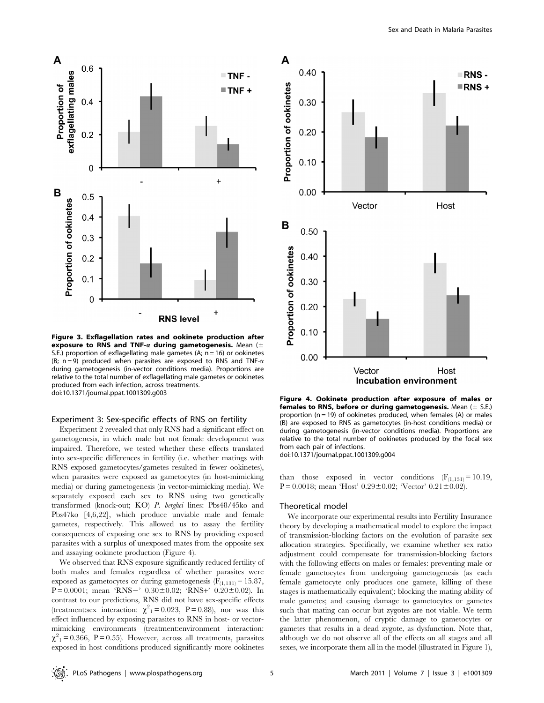

Figure 3. Exflagellation rates and ookinete production after exposure to RNS and TNF-a during gametogenesis. Mean  $($ S.E.) proportion of exflagellating male gametes (A;  $n = 16$ ) or ookinetes (B;  $n = 9$ ) produced when parasites are exposed to RNS and TNF- $\alpha$ during gametogenesis (in-vector conditions media). Proportions are relative to the total number of exflagellating male gametes or ookinetes produced from each infection, across treatments.

# Experiment 3: Sex-specific effects of RNS on fertility

Experiment 2 revealed that only RNS had a significant effect on gametogenesis, in which male but not female development was impaired. Therefore, we tested whether these effects translated into sex-specific differences in fertility (i.e. whether matings with RNS exposed gametocytes/gametes resulted in fewer ookinetes), when parasites were exposed as gametocytes (in host-mimicking media) or during gametogenesis (in vector-mimicking media). We separately exposed each sex to RNS using two genetically transformed (knock-out; KO) P. berghei lines: Pbs48/45ko and Pbs47ko [4,6,22], which produce unviable male and female gametes, respectively. This allowed us to assay the fertility consequences of exposing one sex to RNS by providing exposed parasites with a surplus of unexposed mates from the opposite sex and assaying ookinete production (Figure 4).

We observed that RNS exposure significantly reduced fertility of both males and females regardless of whether parasites were exposed as gametocytes or during gametogenesis  $(F_{(1,131)} = 15.87)$ , P = 0.0001; mean 'RNS-' 0.30 $\pm$ 0.02; 'RNS+' 0.20 $\pm$ 0.02). In contrast to our predictions, RNS did not have sex-specific effects (treatment:sex interaction:  $\chi^2_1 = 0.023$ , P = 0.88), nor was this effect influenced by exposing parasites to RNS in host- or vectormimicking environments (treatment:environment interaction:  $\chi^2$ <sub>1</sub> = 0.366, P = 0.55). However, across all treatments, parasites exposed in host conditions produced significantly more ookinetes



females to RNS, before or during gametogenesis. Mean  $(\pm$  S.E.) proportion ( $n = 19$ ) of ookinetes produced, when females (A) or males (B) are exposed to RNS as gametocytes (in-host conditions media) or during gametogenesis (in-vector conditions media). Proportions are relative to the total number of ookinetes produced by the focal sex from each pair of infections.

doi:10.1371/journal.ppat.1001309.g004

than those exposed in vector conditions  $(F_{(1,131)} = 10.19)$ , P = 0.0018; mean 'Host' 0.29±0.02; 'Vector' 0.21±0.02).

### Theoretical model

We incorporate our experimental results into Fertility Insurance theory by developing a mathematical model to explore the impact of transmission-blocking factors on the evolution of parasite sex allocation strategies. Specifically, we examine whether sex ratio adjustment could compensate for transmission-blocking factors with the following effects on males or females: preventing male or female gametocytes from undergoing gametogenesis (as each female gametocyte only produces one gamete, killing of these stages is mathematically equivalent); blocking the mating ability of male gametes; and causing damage to gametocytes or gametes such that mating can occur but zygotes are not viable. We term the latter phenomenon, of cryptic damage to gametocytes or gametes that results in a dead zygote, as dysfunction. Note that, although we do not observe all of the effects on all stages and all sexes, we incorporate them all in the model (illustrated in Figure 1),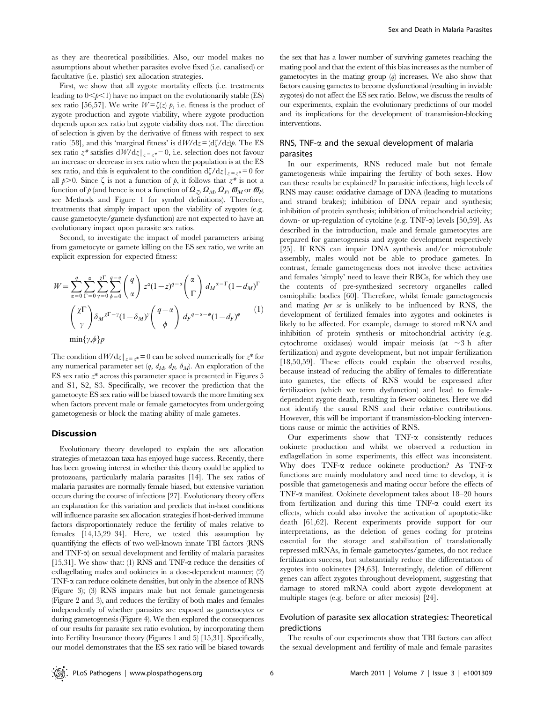as they are theoretical possibilities. Also, our model makes no assumptions about whether parasites evolve fixed (i.e. canalised) or facultative (i.e. plastic) sex allocation strategies.

First, we show that all zygote mortality effects (i.e. treatments leading to  $0 \le p \le 1$ ) have no impact on the evolutionarily stable (ES) sex ratio [56,57]. We write  $W = \zeta(z)$  p, i.e. fitness is the product of zygote production and zygote viability, where zygote production depends upon sex ratio but zygote viability does not. The direction of selection is given by the derivative of fitness with respect to sex ratio [58], and this 'marginal fitness' is  $dW/dz = (d\zeta/dz)b$ . The ES sex ratio  $z^*$  satisfies  $dW/dz|_{z=z^*}=0$ , i.e. selection does not favour an increase or decrease in sex ratio when the population is at the ES sex ratio, and this is equivalent to the condition  $d\zeta/dz|_{z=z^*}=0$  for all  $p>0$ . Since  $\zeta$  is not a function of  $p$ , it follows that  $z^*$  is not a function of  $p$  (and hence is not a function of  $\Omega_z, \Omega_M, \Omega_F, \overline{\omega}_M$  or  $\overline{\omega}_F$ ; see Methods and Figure 1 for symbol definitions). Therefore, treatments that simply impact upon the viability of zygotes (e.g. cause gametocyte/gamete dysfunction) are not expected to have an evolutionary impact upon parasite sex ratios.

Second, to investigate the impact of model parameters arising from gametocyte or gamete killing on the ES sex ratio, we write an explicit expression for expected fitness:

$$
W = \sum_{\alpha=0}^{q} \sum_{\Gamma=0}^{\alpha} \sum_{\gamma=0}^{\gamma\Gamma} \sum_{\phi=0}^{q-\alpha} \binom{q}{\alpha} z^{\alpha} (1-z)^{q-\alpha} \binom{\alpha}{\Gamma} d_{M}^{\alpha-\Gamma} (1-d_{M})^{\Gamma}
$$

$$
\binom{\gamma\Gamma}{\gamma} \delta_{M}^{\gamma\Gamma-\gamma} (1-\delta_{M})^{\gamma} \binom{q-\alpha}{\phi} d_{F}^{\gamma-\alpha-\phi} (1-d_{F})^{\phi} \qquad (1)
$$

$$
\min\{\gamma,\phi\} p
$$

The condition  $dW/dz|_{z=z^*}=0$  can be solved numerically for  $z^*$  for any numerical parameter set  $(q, d<sub>M</sub>, d<sub>F</sub>, \delta<sub>M</sub>)$ . An exploration of the ES sex ratio  $z^*$  across this parameter space is presented in Figures 5 and S1, S2, S3. Specifically, we recover the prediction that the gametocyte ES sex ratio will be biased towards the more limiting sex when factors prevent male or female gametocytes from undergoing gametogenesis or block the mating ability of male gametes.

## **Discussion**

Evolutionary theory developed to explain the sex allocation strategies of metazoan taxa has enjoyed huge success. Recently, there has been growing interest in whether this theory could be applied to protozoans, particularly malaria parasites [14]. The sex ratios of malaria parasites are normally female biased, but extensive variation occurs during the course of infections [27]. Evolutionary theory offers an explanation for this variation and predicts that in-host conditions will influence parasite sex allocation strategies if host-derived immune factors disproportionately reduce the fertility of males relative to females [14,15,29–34]. Here, we tested this assumption by quantifying the effects of two well-known innate TBI factors (RNS and TNF- $\alpha$ ) on sexual development and fertility of malaria parasites [15,31]. We show that: (1) RNS and TNF- $\alpha$  reduce the densities of exflagellating males and ookinetes in a dose-dependent manner; (2) TNF-a can reduce ookinete densities, but only in the absence of RNS (Figure 3); (3) RNS impairs male but not female gametogenesis (Figure 2 and 3), and reduces the fertility of both males and females independently of whether parasites are exposed as gametocytes or during gametogenesis (Figure 4). We then explored the consequences of our results for parasite sex ratio evolution, by incorporating them into Fertility Insurance theory (Figures 1 and 5) [15,31]. Specifically, our model demonstrates that the ES sex ratio will be biased towards

the sex that has a lower number of surviving gametes reaching the mating pool and that the extent of this bias increases as the number of gametocytes in the mating group  $(q)$  increases. We also show that factors causing gametes to become dysfunctional (resulting in inviable zygotes) do not affect the ES sex ratio. Below, we discuss the results of our experiments, explain the evolutionary predictions of our model and its implications for the development of transmission-blocking interventions.

# RNS, TNF- $\alpha$  and the sexual development of malaria parasites

In our experiments, RNS reduced male but not female gametogenesis while impairing the fertility of both sexes. How can these results be explained? In parasitic infections, high levels of RNS may cause: oxidative damage of DNA (leading to mutations and strand brakes); inhibition of DNA repair and synthesis; inhibition of protein synthesis; inhibition of mitochondrial activity; down- or up-regulation of cytokine (e.g. TNF-a) levels [50,59]. As described in the introduction, male and female gametocytes are prepared for gametogenesis and zygote development respectively [25]. If RNS can impair DNA synthesis and/or microtubule assembly, males would not be able to produce gametes. In contrast, female gametogenesis does not involve these activities and females 'simply' need to leave their RBCs, for which they use the contents of pre-synthesized secretory organelles called osmiophilic bodies [60]. Therefore, whilst female gametogenesis and mating per se is unlikely to be influenced by RNS, the development of fertilized females into zygotes and ookinetes is likely to be affected. For example, damage to stored mRNA and inhibition of protein synthesis or mitochondrial activity (e.g. cytochrome oxidases) would impair meiosis (at  $\sim$ 3 h after fertilization) and zygote development, but not impair fertilization [18,50,59]. These effects could explain the observed results, because instead of reducing the ability of females to differentiate into gametes, the effects of RNS would be expressed after fertilization (which we term dysfunction) and lead to femaledependent zygote death, resulting in fewer ookinetes. Here we did not identify the causal RNS and their relative contributions. However, this will be important if transmission-blocking interventions cause or mimic the activities of RNS.

Our experiments show that  $TNF-\alpha$  consistently reduces ookinete production and whilst we observed a reduction in exflagellation in some experiments, this effect was inconsistent. Why does TNF- $\alpha$  reduce ookinete production? As TNF- $\alpha$ functions are mainly modulatory and need time to develop, it is possible that gametogenesis and mating occur before the effects of TNF-a manifest. Ookinete development takes about 18–20 hours from fertilization and during this time  $TNF-\alpha$  could exert its effects, which could also involve the activation of apoptotic-like death [61,62]. Recent experiments provide support for our interpretations, as the deletion of genes coding for proteins essential for the storage and stabilization of translationally repressed mRNAs, in female gametocytes/gametes, do not reduce fertilization success, but substantially reduce the differentiation of zygotes into ookinetes [24,63]. Interestingly, deletion of different genes can affect zygotes throughout development, suggesting that damage to stored mRNA could abort zygote development at multiple stages (e.g. before or after meiosis) [24].

# Evolution of parasite sex allocation strategies: Theoretical predictions

The results of our experiments show that TBI factors can affect the sexual development and fertility of male and female parasites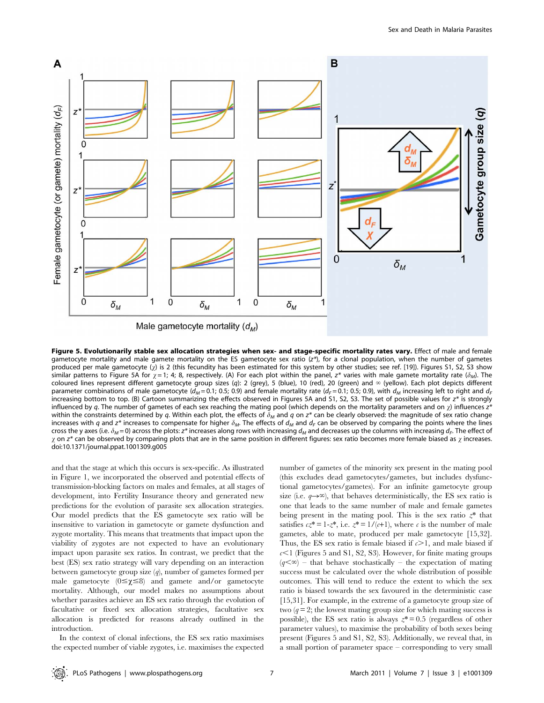

Figure 5. Evolutionarily stable sex allocation strategies when sex- and stage-specific mortality rates vary. Effect of male and female gametocyte mortality and male gamete mortality on the ES gametocyte sex ratio (z\*), for a clonal population, when the number of gametes produced per male gametocyte (x) is 2 (this fecundity has been estimated for this system by other studies; see ref. [19]). Figures S1, S2, S3 show similar patterns to Figure 5A for  $\chi = 1$ ; 4; 8, respectively. (A) For each plot within the panel,  $z^*$  varies with male gamete mortality rate ( $\delta_M$ ). The coloured lines represent different gametocyte group sizes (q): 2 (grey), 5 (blue), 10 (red), 20 (green) and  $\infty$  (yellow). Each plot depicts different parameter combinations of male gametocyte ( $d_M$  = 0.1; 0.5; 0.9) and female mortality rate ( $d_F$  = 0.1; 0.5; 0.9), with  $d_M$  increasing left to right and  $d_F$ increasing bottom to top. (B) Cartoon summarizing the effects observed in Figures 5A and S1, S2, S3. The set of possible values for z\* is strongly influenced by q. The number of gametes of each sex reaching the mating pool (which depends on the mortality parameters and on  $\chi$ ) influences  $z^*$ within the constraints determined by q. Within each plot, the effects of  $\delta_M$  and q on  $z^*$  can be clearly observed: the magnitude of sex ratio change increases with q and  $z^*$  increases to compensate for higher  $\delta_M$ . The effects of  $d_M$  and  $d_F$  can be observed by comparing the points where the lines cross the y axes (i.e.  $\delta_M$  = 0) across the plots:  $z^*$  increases along rows with increasing  $d_M$  and decreases up the columns with increasing  $d_F$ . The effect of  $\gamma$  on  $z^*$  can be observed by comparing plots that are in the same position in different figures: sex ratio becomes more female biased as  $\gamma$  increases. doi:10.1371/journal.ppat.1001309.g005

and that the stage at which this occurs is sex-specific. As illustrated in Figure 1, we incorporated the observed and potential effects of transmission-blocking factors on males and females, at all stages of development, into Fertility Insurance theory and generated new predictions for the evolution of parasite sex allocation strategies. Our model predicts that the ES gametocyte sex ratio will be insensitive to variation in gametocyte or gamete dysfunction and zygote mortality. This means that treatments that impact upon the viability of zygotes are not expected to have an evolutionary impact upon parasite sex ratios. In contrast, we predict that the best (ES) sex ratio strategy will vary depending on an interaction between gametocyte group size (q), number of gametes formed per male gametocyte  $(0 \le \chi \le 8)$  and gamete and/or gametocyte mortality. Although, our model makes no assumptions about whether parasites achieve an ES sex ratio through the evolution of facultative or fixed sex allocation strategies, facultative sex allocation is predicted for reasons already outlined in the introduction.

In the context of clonal infections, the ES sex ratio maximises the expected number of viable zygotes, i.e. maximises the expected number of gametes of the minority sex present in the mating pool (this excludes dead gametocytes/gametes, but includes dysfunctional gametocytes/gametes). For an infinite gametocyte group size (i.e.  $q\rightarrow\infty$ ), that behaves deterministically, the ES sex ratio is one that leads to the same number of male and female gametes being present in the mating pool. This is the sex ratio  $z^*$  that satisfies  $cz^* = 1-z^*$ , i.e.  $z^* = 1/(c+1)$ , where c is the number of male gametes, able to mate, produced per male gametocyte [15,32]. Thus, the ES sex ratio is female biased if  $c > 1$ , and male biased if  $c<1$  (Figures 5 and S1, S2, S3). However, for finite mating groups  $(q<\infty)$  – that behave stochastically – the expectation of mating success must be calculated over the whole distribution of possible outcomes. This will tend to reduce the extent to which the sex ratio is biased towards the sex favoured in the deterministic case [15,31]. For example, in the extreme of a gametocyte group size of two  $(q=2)$ ; the lowest mating group size for which mating success is possible), the ES sex ratio is always  $z^* = 0.5$  (regardless of other parameter values), to maximise the probability of both sexes being present (Figures 5 and S1, S2, S3). Additionally, we reveal that, in a small portion of parameter space – corresponding to very small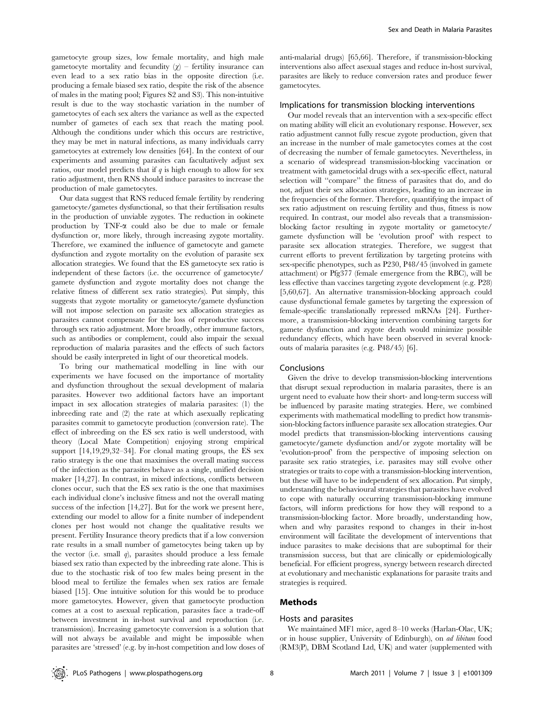gametocyte group sizes, low female mortality, and high male gametocyte mortality and fecundity  $(\chi)$  – fertility insurance can even lead to a sex ratio bias in the opposite direction (i.e. producing a female biased sex ratio, despite the risk of the absence of males in the mating pool; Figures S2 and S3). This non-intuitive result is due to the way stochastic variation in the number of gametocytes of each sex alters the variance as well as the expected number of gametes of each sex that reach the mating pool. Although the conditions under which this occurs are restrictive, they may be met in natural infections, as many individuals carry gametocytes at extremely low densities [64]. In the context of our experiments and assuming parasites can facultatively adjust sex ratios, our model predicts that if  $q$  is high enough to allow for sex ratio adjustment, then RNS should induce parasites to increase the production of male gametocytes.

Our data suggest that RNS reduced female fertility by rendering gametocyte/gametes dysfunctional, so that their fertilisation results in the production of unviable zygotes. The reduction in ookinete production by TNF- $\alpha$  could also be due to male or female dysfunction or, more likely, through increasing zygote mortality. Therefore, we examined the influence of gametocyte and gamete dysfunction and zygote mortality on the evolution of parasite sex allocation strategies. We found that the ES gametocyte sex ratio is independent of these factors (i.e. the occurrence of gametocyte/ gamete dysfunction and zygote mortality does not change the relative fitness of different sex ratio strategies). Put simply, this suggests that zygote mortality or gametocyte/gamete dysfunction will not impose selection on parasite sex allocation strategies as parasites cannot compensate for the loss of reproductive success through sex ratio adjustment. More broadly, other immune factors, such as antibodies or complement, could also impair the sexual reproduction of malaria parasites and the effects of such factors should be easily interpreted in light of our theoretical models.

To bring our mathematical modelling in line with our experiments we have focused on the importance of mortality and dysfunction throughout the sexual development of malaria parasites. However two additional factors have an important impact in sex allocation strategies of malaria parasites: (1) the inbreeding rate and (2) the rate at which asexually replicating parasites commit to gametocyte production (conversion rate). The effect of inbreeding on the ES sex ratio is well understood, with theory (Local Mate Competition) enjoying strong empirical support [14,19,29,32–34]. For clonal mating groups, the ES sex ratio strategy is the one that maximises the overall mating success of the infection as the parasites behave as a single, unified decision maker [14,27]. In contrast, in mixed infections, conflicts between clones occur, such that the ES sex ratio is the one that maximises each individual clone's inclusive fitness and not the overall mating success of the infection [14,27]. But for the work we present here, extending our model to allow for a finite number of independent clones per host would not change the qualitative results we present. Fertility Insurance theory predicts that if a low conversion rate results in a small number of gametocytes being taken up by the vector (i.e. small  $q$ ), parasites should produce a less female biased sex ratio than expected by the inbreeding rate alone. This is due to the stochastic risk of too few males being present in the blood meal to fertilize the females when sex ratios are female biased [15]. One intuitive solution for this would be to produce more gametocytes. However, given that gametocyte production comes at a cost to asexual replication, parasites face a trade-off between investment in in-host survival and reproduction (i.e. transmission). Increasing gametocyte conversion is a solution that will not always be available and might be impossible when parasites are 'stressed' (e.g. by in-host competition and low doses of anti-malarial drugs) [65,66]. Therefore, if transmission-blocking interventions also affect asexual stages and reduce in-host survival, parasites are likely to reduce conversion rates and produce fewer gametocytes.

## Implications for transmission blocking interventions

Our model reveals that an intervention with a sex-specific effect on mating ability will elicit an evolutionary response. However, sex ratio adjustment cannot fully rescue zygote production, given that an increase in the number of male gametocytes comes at the cost of decreasing the number of female gametocytes. Nevertheless, in a scenario of widespread transmission-blocking vaccination or treatment with gametocidal drugs with a sex-specific effect, natural selection will ''compare'' the fitness of parasites that do, and do not, adjust their sex allocation strategies, leading to an increase in the frequencies of the former. Therefore, quantifying the impact of sex ratio adjustment on rescuing fertility and thus, fitness is now required. In contrast, our model also reveals that a transmissionblocking factor resulting in zygote mortality or gametocyte/ gamete dysfunction will be 'evolution proof' with respect to parasite sex allocation strategies. Therefore, we suggest that current efforts to prevent fertilization by targeting proteins with sex-specific phenotypes, such as P230, P48/45 (involved in gamete attachment) or Pfg377 (female emergence from the RBC), will be less effective than vaccines targeting zygote development (e.g. P28) [5,60,67]. An alternative transmission-blocking approach could cause dysfunctional female gametes by targeting the expression of female-specific translationally repressed mRNAs [24]. Furthermore, a transmission-blocking intervention combining targets for gamete dysfunction and zygote death would minimize possible redundancy effects, which have been observed in several knockouts of malaria parasites (e.g. P48/45) [6].

#### Conclusions

Given the drive to develop transmission-blocking interventions that disrupt sexual reproduction in malaria parasites, there is an urgent need to evaluate how their short- and long-term success will be influenced by parasite mating strategies. Here, we combined experiments with mathematical modelling to predict how transmission-blocking factors influence parasite sex allocation strategies. Our model predicts that transmission-blocking interventions causing gametocyte/gamete dysfunction and/or zygote mortality will be 'evolution-proof' from the perspective of imposing selection on parasite sex ratio strategies, i.e. parasites may still evolve other strategies or traits to cope with a transmission-blocking intervention, but these will have to be independent of sex allocation. Put simply, understanding the behavioural strategies that parasites have evolved to cope with naturally occurring transmission-blocking immune factors, will inform predictions for how they will respond to a transmission-blocking factor. More broadly, understanding how, when and why parasites respond to changes in their in-host environment will facilitate the development of interventions that induce parasites to make decisions that are suboptimal for their transmission success, but that are clinically or epidemiologically beneficial. For efficient progress, synergy between research directed at evolutionary and mechanistic explanations for parasite traits and strategies is required.

# Methods

### Hosts and parasites

We maintained MF1 mice, aged 8–10 weeks (Harlan-Olac, UK; or in house supplier, University of Edinburgh), on ad libitum food (RM3(P), DBM Scotland Ltd, UK) and water (supplemented with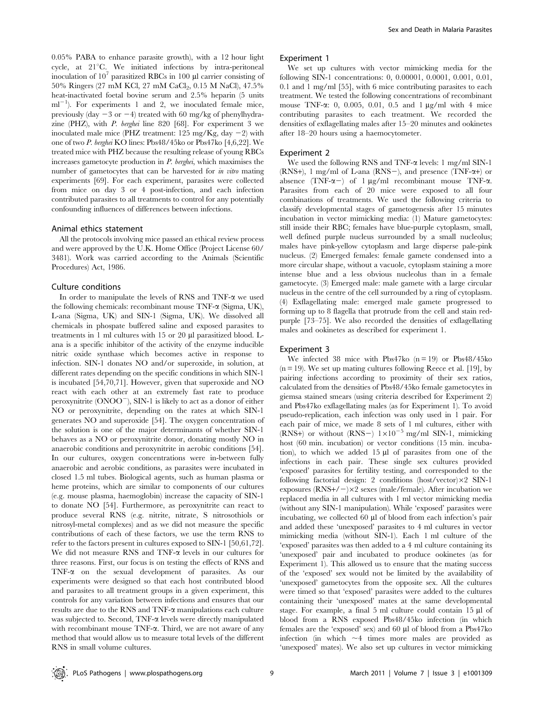0.05% PABA to enhance parasite growth), with a 12 hour light cycle, at  $21^{\circ}$ C. We initiated infections by intra-peritoneal inoculation of  $10<sup>7</sup>$  parasitized RBCs in 100 µl carrier consisting of 50% Ringers (27 mM KCl, 27 mM CaCl<sub>2</sub>, 0.15 M NaCl), 47.5% heat-inactivated foetal bovine serum and 2.5% heparin (5 units ml<sup>-1</sup>). For experiments 1 and 2, we inoculated female mice, previously (day  $-3$  or  $-4$ ) treated with 60 mg/kg of phenylhydrazine (PHZ), with P. berghei line 820 [68]. For experiment 3 we inoculated male mice (PHZ treatment:  $125 \text{ mg/Kg}$ , day  $-2$ ) with one of two P. berghei KO lines: Pbs48/45ko or Pbs47ko [4,6,22]. We treated mice with PHZ because the resulting release of young RBCs increases gametocyte production in P. berghei, which maximises the number of gametocytes that can be harvested for *in vitro* mating experiments [69]. For each experiment, parasites were collected from mice on day 3 or 4 post-infection, and each infection contributed parasites to all treatments to control for any potentially confounding influences of differences between infections.

## Animal ethics statement

All the protocols involving mice passed an ethical review process and were approved by the U.K. Home Office (Project License 60/ 3481). Work was carried according to the Animals (Scientific Procedures) Act, 1986.

### Culture conditions

In order to manipulate the levels of RNS and TNF- $\alpha$  we used the following chemicals: recombinant mouse  $TNF-\alpha$  (Sigma, UK), L-ana (Sigma, UK) and SIN-1 (Sigma, UK). We dissolved all chemicals in phospate buffered saline and exposed parasites to treatments in 1 ml cultures with 15 or 20 µl parasitized blood. Lana is a specific inhibitor of the activity of the enzyme inducible nitric oxide synthase which becomes active in response to infection. SIN-1 donates NO and/or superoxide, in solution, at different rates depending on the specific conditions in which SIN-1 is incubated [54,70,71]. However, given that superoxide and NO react with each other at an extremely fast rate to produce peroxynitrite  $(ONOO^{-})$ , SIN-1 is likely to act as a donor of either NO or peroxynitrite, depending on the rates at which SIN-1 generates NO and superoxide [54]. The oxygen concentration of the solution is one of the major determinants of whether SIN-1 behaves as a NO or peroxynitrite donor, donating mostly NO in anaerobic conditions and peroxynitrite in aerobic conditions [54]. In our cultures, oxygen concentrations were in-between fully anaerobic and aerobic conditions, as parasites were incubated in closed 1.5 ml tubes. Biological agents, such as human plasma or heme proteins, which are similar to components of our cultures (e.g. mouse plasma, haemoglobin) increase the capacity of SIN-1 to donate NO [54]. Furthermore, as peroxynitrite can react to produce several RNS (e.g. nitrite, nitrate, S nitrosothiols or nitrosyl-metal complexes) and as we did not measure the specific contributions of each of these factors, we use the term RNS to refer to the factors present in cultures exposed to SIN-1 [50,61,72]. We did not measure RNS and TNF-a levels in our cultures for three reasons. First, our focus is on testing the effects of RNS and TNF-a on the sexual development of parasites. As our experiments were designed so that each host contributed blood and parasites to all treatment groups in a given experiment, this controls for any variation between infections and ensures that our results are due to the RNS and TNF-a manipulations each culture was subjected to. Second, TNF-a levels were directly manipulated with recombinant mouse TNF- $\alpha$ . Third, we are not aware of any method that would allow us to measure total levels of the different RNS in small volume cultures.

#### Experiment 1

We set up cultures with vector mimicking media for the following SIN-1 concentrations: 0, 0.00001, 0.0001, 0.001, 0.01, 0.1 and 1 mg/ml [55], with 6 mice contributing parasites to each treatment. We tested the following concentrations of recombinant mouse TNF- $\alpha$ : 0, 0.005, 0.01, 0.5 and 1  $\mu$ g/ml with 4 mice contributing parasites to each treatment. We recorded the densities of exflagellating males after 15–20 minutes and ookinetes after 18–20 hours using a haemocytometer.

## Experiment 2

We used the following RNS and TNF- $\alpha$  levels: 1 mg/ml SIN-1 (RNS+), 1 mg/ml of L-ana (RNS-), and presence (TNF- $\alpha$ +) or absence (TNF- $\alpha$ -) of 1 µg/ml recombinant mouse TNF- $\alpha$ . Parasites from each of 20 mice were exposed to all four combinations of treatments. We used the following criteria to classify developmental stages of gametogenesis after 15 minutes incubation in vector mimicking media: (1) Mature gametocytes: still inside their RBC; females have blue-purple cytoplasm, small, well defined purple nucleus surrounded by a small nucleolus; males have pink-yellow cytoplasm and large disperse pale-pink nucleus. (2) Emerged females: female gamete condensed into a more circular shape, without a vacuole, cytoplasm staining a more intense blue and a less obvious nucleolus than in a female gametocyte. (3) Emerged male: male gamete with a large circular nucleus in the centre of the cell surrounded by a ring of cytoplasm. (4) Exflagellating male: emerged male gamete progressed to forming up to 8 flagella that protrude from the cell and stain redpurple [73–75]. We also recorded the densities of exflagellating males and ookinetes as described for experiment 1.

#### Experiment 3

We infected 38 mice with Pbs47ko  $(n = 19)$  or Pbs48/45ko  $(n = 19)$ . We set up mating cultures following Reece et al. [19], by pairing infections according to proximity of their sex ratios, calculated from the densities of Pbs48/45ko female gametocytes in giemsa stained smears (using criteria described for Experiment 2) and Pbs47ko exflagellating males (as for Experiment 1). To avoid pseudo-replication, each infection was only used in 1 pair. For each pair of mice, we made 8 sets of 1 ml cultures, either with (RNS+) or without (RNS-)  $1\times10^{-5}$  mg/ml SIN-1, mimicking host (60 min. incubation) or vector conditions (15 min. incubation), to which we added 15 ul of parasites from one of the infections in each pair. These single sex cultures provided 'exposed' parasites for fertility testing, and corresponded to the following factorial design: 2 conditions (host/vector) $\times$ 2 SIN-1 exposures  $(RNS+/-)\times2$  sexes (male/female). After incubation we replaced media in all cultures with 1 ml vector mimicking media (without any SIN-1 manipulation). While 'exposed' parasites were incubating, we collected 60 µl of blood from each infection's pair and added these 'unexposed' parasites to 4 ml cultures in vector mimicking media (without SIN-1). Each 1 ml culture of the 'exposed' parasites was then added to a 4 ml culture containing its 'unexposed' pair and incubated to produce ookinetes (as for Experiment 1). This allowed us to ensure that the mating success of the 'exposed' sex would not be limited by the availability of 'unexposed' gametocytes from the opposite sex. All the cultures were timed so that 'exposed' parasites were added to the cultures containing their 'unexposed' mates at the same developmental stage. For example, a final  $5$  ml culture could contain  $15 \mu l$  of blood from a RNS exposed Pbs48/45ko infection (in which females are the 'exposed' sex) and  $60 \mu l$  of blood from a Pbs47ko infection (in which  $\sim$  4 times more males are provided as 'unexposed' mates). We also set up cultures in vector mimicking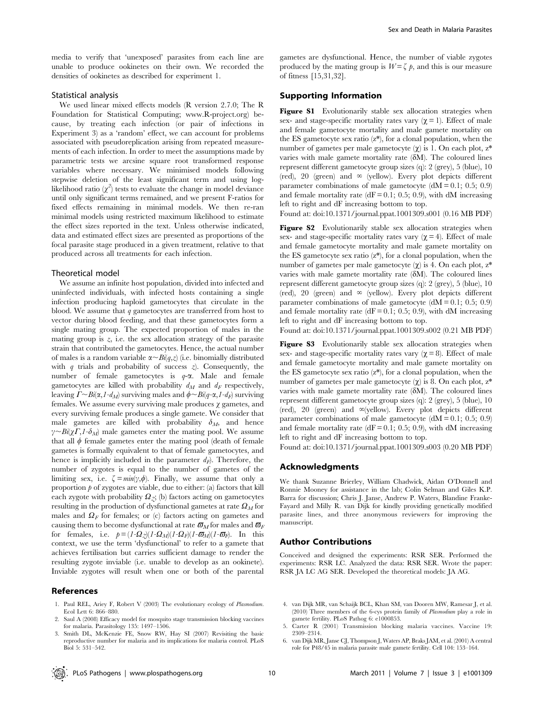media to verify that 'unexposed' parasites from each line are unable to produce ookinetes on their own. We recorded the densities of ookinetes as described for experiment 1.

### Statistical analysis

We used linear mixed effects models (R version 2.7.0; The R Foundation for Statistical Computing; www.R-project.org) because, by treating each infection (or pair of infections in Experiment 3) as a 'random' effect, we can account for problems associated with pseudoreplication arising from repeated measurements of each infection. In order to meet the assumptions made by parametric tests we arcsine square root transformed response variables where necessary. We minimised models following stepwise deletion of the least significant term and using loglikelihood ratio  $(\chi^2)$  tests to evaluate the change in model deviance until only significant terms remained, and we present F-ratios for fixed effects remaining in minimal models. We then re-ran minimal models using restricted maximum likelihood to estimate the effect sizes reported in the text. Unless otherwise indicated, data and estimated effect sizes are presented as proportions of the focal parasite stage produced in a given treatment, relative to that produced across all treatments for each infection.

#### Theoretical model

We assume an infinite host population, divided into infected and uninfected individuals, with infected hosts containing a single infection producing haploid gametocytes that circulate in the blood. We assume that  $q$  gametocytes are transferred from host to vector during blood feeding, and that these gametocytes form a single mating group. The expected proportion of males in the mating group is  $z$ , i.e. the sex allocation strategy of the parasite strain that contributed the gametocytes. Hence, the actual number of males is a random variable  $\alpha \sim Bi(q,z)$  (i.e. binomially distributed with  $q$  trials and probability of success  $z$ ). Consequently, the number of female gametocytes is  $q-\alpha$ . Male and female gametocytes are killed with probability  $d_M$  and  $d_F$  respectively, leaving  $\Gamma \sim Bi(\alpha,1-d_M)$  surviving males and  $\phi \sim Bi(q-\alpha,1-d_F)$  surviving females. We assume every surviving male produces  $\chi$  gametes, and every surviving female produces a single gamete. We consider that male gametes are killed with probability  $\delta_M$ , and hence  $\gamma \sim Bi(\chi \Gamma, 1-\delta_M)$  male gametes enter the mating pool. We assume that all  $\phi$  female gametes enter the mating pool (death of female gametes is formally equivalent to that of female gametocytes, and hence is implicitly included in the parameter  $d_F$ ). Therefore, the number of zygotes is equal to the number of gametes of the limiting sex, i.e.  $\zeta = min(\gamma, \phi)$ . Finally, we assume that only a proportion  $\hat{p}$  of zygotes are viable, due to either: (a) factors that kill each zygote with probability  $\Omega_{z}$ ; (b) factors acting on gametocytes resulting in the production of dysfunctional gametes at rate  $\Omega_M$  for males and  $\Omega_F$  for females; or (c) factors acting on gametes and causing them to become dysfunctional at rate  $\bar{\omega}_M$  for males and  $\bar{\omega}_F$ for females, i.e.  $p = (1-\Omega_z)(1-\Omega_M)(1-\Omega_F)(1-\varpi_M)(1-\varpi_F)$ . In this context, we use the term 'dysfunctional' to refer to a gamete that achieves fertilisation but carries sufficient damage to render the resulting zygote inviable (i.e. unable to develop as an ookinete). Inviable zygotes will result when one or both of the parental

# References

- 1. Paul REL, Ariey F, Robert V (2003) The evolutionary ecology of Plasmodium Ecol Lett 6: 866–880.
- 2. Saul A (2008) Efficacy model for mosquito stage transmission blocking vaccines for malaria. Parasitology 135: 1497–1506.
- 3. Smith DL, McKenzie FE, Snow RW, Hay SI (2007) Revisiting the basic reproductive number for malaria and its implications for malaria control. PLoS Biol 5: 531–542.

gametes are dysfunctional. Hence, the number of viable zygotes produced by the mating group is  $W = \zeta p$ , and this is our measure of fitness [15,31,32].

# Supporting Information

Figure S1 Evolutionarily stable sex allocation strategies when sex- and stage-specific mortality rates vary  $(\gamma = 1)$ . Effect of male and female gametocyte mortality and male gamete mortality on the ES gametocyte sex ratio  $(z^*)$ , for a clonal population, when the number of gametes per male gametocyte  $(\chi)$  is 1. On each plot,  $z^*$ varies with male gamete mortality rate  $(\delta M)$ . The coloured lines represent different gametocyte group sizes (q): 2 (grey), 5 (blue), 10 (red), 20 (green) and  $\infty$  (yellow). Every plot depicts different parameter combinations of male gametocyte  $dM = 0.1$ ; 0.5; 0.9) and female mortality rate ( $dF = 0.1$ ; 0.5; 0.9), with dM increasing left to right and dF increasing bottom to top.

Found at: doi:10.1371/journal.ppat.1001309.s001 (0.16 MB PDF)

Figure S2 Evolutionarily stable sex allocation strategies when sex- and stage-specific mortality rates vary  $(\chi = 4)$ . Effect of male and female gametocyte mortality and male gamete mortality on the ES gametocyte sex ratio (z\*), for a clonal population, when the number of gametes per male gametocyte  $(\gamma)$  is 4. On each plot,  $z^*$ varies with male gamete mortality rate  $(\delta M)$ . The coloured lines represent different gametocyte group sizes (q): 2 (grey), 5 (blue), 10 (red), 20 (green) and  $\infty$  (yellow). Every plot depicts different parameter combinations of male gametocyte  $dM = 0.1$ ; 0.5; 0.9) and female mortality rate  $(dF = 0.1; 0.5; 0.9)$ , with dM increasing left to right and dF increasing bottom to top.

Found at: doi:10.1371/journal.ppat.1001309.s002 (0.21 MB PDF)

Figure S3 Evolutionarily stable sex allocation strategies when sex- and stage-specific mortality rates vary ( $\chi$  = 8). Effect of male and female gametocyte mortality and male gamete mortality on the ES gametocyte sex ratio  $(z^*)$ , for a clonal population, when the number of gametes per male gametocyte  $(\chi)$  is 8. On each plot,  $z^*$ varies with male gamete mortality rate  $(\delta M)$ . The coloured lines represent different gametocyte group sizes (q): 2 (grey), 5 (blue), 10 (red), 20 (green) and  $\infty$ (yellow). Every plot depicts different parameter combinations of male gametocyte  $(dM = 0.1; 0.5; 0.9)$ and female mortality rate  $(dF = 0.1; 0.5; 0.9)$ , with dM increasing left to right and dF increasing bottom to top.

Found at: doi:10.1371/journal.ppat.1001309.s003 (0.20 MB PDF)

## Acknowledgments

We thank Suzanne Brierley, William Chadwick, Aidan O'Donnell and Ronnie Mooney for assistance in the lab; Colin Selman and Giles K.P. Barra for discussion; Chris J. Janse, Andrew P. Waters, Blandine Franke-Fayard and Milly R. van Dijk for kindly providing genetically modified parasite lines, and three anonymous reviewers for improving the manuscript.

# Author Contributions

Conceived and designed the experiments: RSR SER. Performed the experiments: RSR LC. Analyzed the data: RSR SER. Wrote the paper: RSR JA LC AG SER. Developed the theoretical models: JA AG.

- 4. van Dijk MR, van Schaijk BCL, Khan SM, van Dooren MW, Ramesar J, et al. (2010) Three members of the 6-cys protein family of Plasmodium play a role in gamete fertility. PLoS Pathog 6: e1000853.
- 5. Carter R (2001) Transmission blocking malaria vaccines. Vaccine 19: 2309–2314.
- 6. van Dijk MR, Janse CJ, Thompson J, Waters AP, Braks JAM, et al. (2001) A central role for P48/45 in malaria parasite male gamete fertility. Cell 104: 153–164.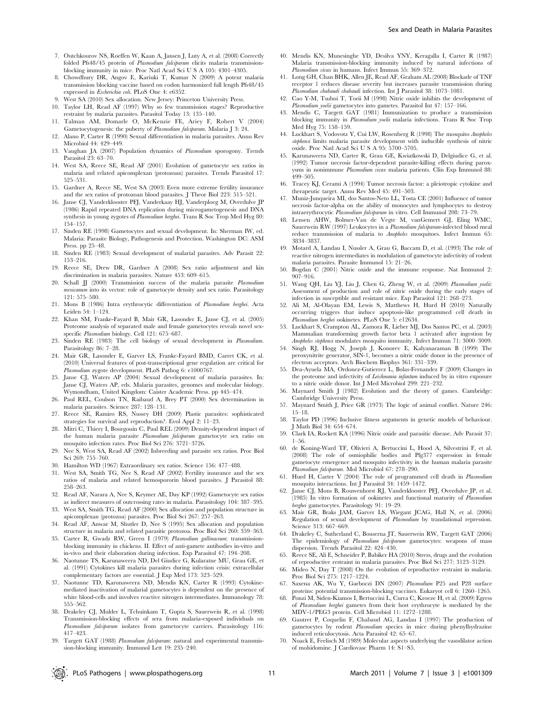- 7. Outchkourov NS, Roeffen W, Kaan A, Jansen J, Luty A, et al. (2008) Correctly folded Pfs48/45 protein of Plasmodium falciparum elicits malaria transmissionblocking immunity in mice. Proc Natl Acad Sci U S A 105: 4301–4305.
- 8. Chowdhury DR, Angov E, Kariuki T, Kumar N (2009) A potent malaria transmission blocking vaccine based on codon harmonized full length Pfs48/45 expressed in Escherichia coli. PLoS One 4: e6352.
- 9. West SA (2010) Sex allocation. New Jersey: Princeton University Press.
- 10. Taylor LH, Read AF (1997) Why so few transmission stages? Reproductive restraint by malaria parasites. Parasitol Today 13: 135–140.
- 11. Talman AM, Domarle O, McKenzie FE, Ariey F, Robert V (2004) Gametocytogenesis: the puberty of Plasmodium falciparum. Malaria J 3: 24.
- 12. Alano P, Carter R (1990) Sexual differentiation in malaria parasites. Annu Rev Microbiol 44: 429–449.
- 13. Vaughan JA (2007) Population dynamics of Plasmodium sporogony. Trends Parasitol 23: 63–70.
- 14. West SA, Reece SE, Read AF (2001) Evolution of gametocyte sex ratios in malaria and related apicomplexan (protozoan) parasites. Trends Parasitol 17: 525–531.
- 15. Gardner A, Reece SE, West SA (2003) Even more extreme fertility insurance and the sex ratios of protozoan blood parasites. J Theor Biol 223: 515–521.
- 16. Janse CJ, Vanderklooster PFJ, Vanderkaay HJ, Vanderploeg M, Overdulve JP (1986) Rapid repeated DNA replication during microgametogenesis and DNA synthesis in young zygotes of Plasmodium berghei. Trans R Soc Trop Med Hyg 80: 154–157.
- 17. Sinden RE (1998) Gametocytes and sexual development. In: Sherman IW, ed. Malaria: Parasite Biology, Pathogenesis and Protection. Washington DC: ASM Press. pp 25–48.
- 18. Sinden RE (1983) Sexual development of malarial parasites. Adv Parasit 22: 153–216.
- 19. Reece SE, Drew DR, Gardner A (2008) Sex ratio adjustment and kin discrimination in malaria parasites. Nature 453: 609–615.
- 20. Schall JJ (2000) Transmission success of the malaria parasite Plasmodium mexicanum into its vector: role of gametocyte density and sex ratio. Parasitology 121: 575–580.
- 21. Mons B (1986) Intra erythrocytic differentiation of Plasmodium berghei. Acta Leiden 54: 1–124.
- 22. Khan SM, Franke-Fayard B, Mair GR, Lasonder E, Janse CJ, et al. (2005) Proteome analysis of separated male and female gametocytes reveals novel sexspecific Plasmodium biology. Cell 121: 675–687.
- 23. Sinden RE (1983) The cell biology of sexual development in Plasmodium. Parasitology 86: 7–28.
- 24. Mair GR, Lasonder E, Garver LS, Franke-Fayard BMD, Carret CK, et al. (2010) Universal features of post-transcriptional gene regulation are critical for Plasmodium zygote development. PLoS Pathog 6: e1000767.
- 25. Janse CJ, Waters AP (2004) Sexual development of malaria parasites. In: Janse CJ, Waters AP, eds. Malaria parasites, genomes and molecular biology. Wymondham, United Kingdom: Caister Academic Press. pp 445–474.
- 26. Paul REL, Coulson TN, Raibaud A, Brey PT (2000) Sex determination in malaria parasites. Science 287: 128–131.
- 27. Reece SE, Ramiro RS, Nussey DH (2009) Plastic parasites: sophisticated strategies for survival and reproduction?. Evol Appl 2: 11–23.
- 28. Mitri C, Thiery I, Bourgouin C, Paul REL (2009) Density-dependent impact of the human malaria parasite Plasmodium falciparum gametocyte sex ratio on mosquito infection rates. Proc Biol Sci 276: 3721–3726.
- 29. Nee S, West SA, Read AF (2002) Inbreeding and parasite sex ratios. Proc Biol Sci 269: 755–760.
- 30. Hamilton WD (1967) Extraordinary sex ratios. Science 156: 477–488.
- 31. West SA, Smith TG, Nee S, Read AF (2002) Fertility insurance and the sex ratios of malaria and related hemospororin blood parasites. J Parasitol 88: 258–263.
- 32. Read AF, Narara A, Nee S, Keymer AE, Day KP (1992) Gametocyte sex ratios as indirect measures of outcrossing rates in malaria. Parasitology 104: 387–395.
- 33. West SA, Smith TG, Read AF (2000) Sex allocation and population structure in apicomplexan (protozoa) parasites. Proc Biol Sci 267: 257–263.
- 34. Read AF, Anwar M, Shutler D, Nee S (1995) Sex allocation and population structure in malaria and related parasitic protozoa. Proc Biol Sci 260: 359–363.
- 35. Carter R, Gwadz RW, Green I (1979) Plasmodium gallinaceum: transmissionblocking immunity in chickens. II. Effect of anti-gamete antibodies in-vitro and in-vivo and their elaboration during infection. Exp Parasitol 47: 194–208.
- 36. Naotunne TS, Karunaweera ND, Del Giudice G, Kularatne MU, Grau GE, et al. (1991) Cytokines kill malaria parasites during infection crisis: extracellular complementary factors are essential. J Exp Med 173: 523–529.
- 37. Naotunne TD, Karunaweera ND, Mendis KN, Carter R (1993) Cytokinemediated inactivation of malarial gametocytes is dependent on the presence of white blood-cells and involves reactive nitrogen intermediates. Immunology 78: 555–562.
- 38. Drakeley CJ, Mulder L, Tchuinkam T, Gupta S, Sauerwein R, et al. (1998) Transmission-blocking effects of sera from malaria-exposed individuals on Plasmodium falciparum isolates from gametocyte carriers. Parasitology 116: 417–423.
- 39. Targett GAT (1988) Plasmodium falciparum: natural and experimental transmission-blocking immunity. Immunol Lett 19: 235–240.
- 40. Mendis KN, Munesinghe YD, Desilva YNY, Keragalla I, Carter R (1987) Malaria transmission-blocking immunity induced by natural infections of Plasmodium vivax in humans. Infect Immun 55: 369–372.
- 41. Long GH, Chan BHK, Allen JE, Read AF, Graham AL (2008) Blockade of TNF receptor 1 reduces disease severity but increases parasite transmission during Plasmodium chabaudi chabaudi infection. Int J Parasitol 38: 1073–1081.
- 42. Cao Y-M, Tsuboi T, Torii M (1998) Nitric oxide inhibits the development of Plasmodium yoelii gametocytes into gametes. Parasitol Int 47: 157–166.
- 43. Mendis C, Targett GAT (1981) Immunization to produce a transmission blocking immunity in Plasmodium yoelii malaria infections. Trans R Soc Trop Med Hyg 75: 158–159.
- 44. Luckhart S, Vodovotz Y, Cui LW, Rosenberg R (1998) The mosquito Anopheles stephensi limits malaria parasite development with inducible synthesis of nitric oxide. Proc Natl Acad Sci U S A 95: 5700–5705.
- 45. Karunaweera ND, Carter R, Grau GE, Kwiatkowski D, Delgiudice G, et al. (1992) Tumor necrosis factor-dependent parasite-killing effects during paroxysms in nonimmune Plasmodium vivax malaria patients. Clin Exp Immunol 88: 499–505.
- 46. Tracey KJ, Cerami A (1994) Tumor necrosis factor: a pleiotropic cytokine and therapeutic target. Annu Rev Med 45: 491–503.
- 47. Muniz-Junqueira MI, dos Santos-Neto LL, Tosta CE (2001) Influence of tumor necrosis factor-alpha on the ability of monocytes and lymphocytes to destroy intraerythrocytic Plasmodium falciparum in vitro. Cell Immunol 208: 73–79.
- Lensen AHW, Bolmer-Van de Vegte M, vanGemert GJ, Eling WMC, Sauerwein RW (1997) Leukocytes in a Plasmodium falciparum-infected blood meal reduce transmission of malaria to Anopheles mosquitoes. Infect Immun 65: 3834–3837.
- 49. Motard A, Landau I, Nussler A, Grau G, Baccam D, et al. (1993) The role of reactive nitrogen intermediates in modulation of gametocyte infectivity of rodent malaria parasites. Parasite Immunol 15: 21–26.
- 50. Bogdan C (2001) Nitric oxide and the immune response. Nat Immunol 2: 907–916.
- 51. Wang QH, Liu YJ, Liu J, Chen G, Zheng W, et al. (2009) Plasmodium yoelii: Assessment of production and role of nitric oxide during the early stages of infection in susceptible and resistant mice. Exp Parasitol 121: 268–273.
- 52. Ali M, Al-Olayan EM, Lewis S, Matthews H, Hurd H (2010) Naturally occurring triggers that induce apoptosis-like programmed cell death in Plasmodium berghei ookinetes. PLoS One 5: e12634.
- 53. Luckhart S, Crampton AL, Zamora R, Lieber MJ, Dos Santos PC, et al. (2003) Mammalian transforming growth factor beta 1 activated after ingestion by Anopheles stephensi modulates mosquito immunity. Infect Immun 71: 3000–3009.
- 54. Singh RJ, Hogg N, Joseph J, Konorev E, Kalyanaraman B (1999) The peroxynitrite generator, SIN-1, becomes a nitric oxide donor in the presence of electron acceptors. Arch Biochem Biophys 361: 331–339.
- 55. Dea-Ayuela MA, Ordonez-Gutierrez L, Bolas-Fernandez F (2009) Changes in the proteome and infectivity of *Leishmania infantum* induced by in vitro exposure to a nitric oxide donor. Int J Med Microbiol 299: 221–232.
- 56. Maynard Smith J (1982) Evolution and the theory of games. Cambridge: Cambridge University Press.
- 57. Maynard Smith J, Price GR (1973) The logic of animal conflict. Nature 246: 15–18.
- 58. Taylor PD (1996) Inclusive fitness arguments in genetic models of behaviour. J Math Biol 34: 654–674.
- 59. Clark IA, Rockett KA (1996) Nitric oxide and parasitic disease. Adv Parasit 37: 1–56.
- 60. de Koning-Ward TF, Olivieri A, Bertuccini L, Hood A, Silvestrini F, et al. (2008) The role of osmiophilic bodies and Pfg377 expression in female gametocyte emergence and mosquito infectivity in the human malaria parasite Plasmodium falciparum. Mol Microbiol 67: 278–290.
- 61. Hurd H, Carter V (2004) The role of programmed cell death in Plasmodium mosquito interactions. Int J Parasitol 34: 1459–1472.
- 62. Janse CJ, Mons B, Rouwenhorst RJ, Vanderklooster PFJ, Overdulve JP, et al. (1985) In vitro formation of ookinetes and functional maturity of Plasmodium berghei gametocytes. Parasitology 91: 19–29.
- 63. Mair GR, Braks JAM, Garver LS, Wiegant JCAG, Hall N, et al. (2006) Regulation of sexual development of Plasmodium by translational repression. Science 313: 667–669.
- 64. Drakeley C, Sutherland C, Bouserna JT, Sauerwein RW, Targett GAT (2006) The epidemiology of Plasmodium falciparum gametocytes: weapons of mass dispersion. Trends Parasitol 22: 424–430.
- 65. Reece SE, Ali E, Schneider P, Babiker HA (2010) Stress, drugs and the evolution of reproductive restraint in malaria parasites. Proc Biol Sci 277: 3123–3129.
- 66. Mideo N, Day T (2008) On the evolution of reproductive restraint in malaria. Proc Biol Sci 275: 1217–1224.
- 67. Saxena AK, Wu Y, Garboczi DN (2007) Plasmodium P25 and P28 surface proteins: potential transmission-blocking vaccines. Eukaryot cell 6: 1260–1265.
- 68. Ponzi M, Siden-Kiamos I, Bertuccini L, Curra C, Kroeze H, et al. (2009) Egress of Plasmodium berghei gametes from their host erythrocyte is mediated by the MDV-1/PEG3 protein. Cell Microbiol 11: 1272–1288.
- 69. Gautret P, Coquelin F, Chabaud AG, Landau I (1997) The production of gametocytes by rodent Plasmodium species in mice during phenylhydrazine induced reticulocytosis. Acta Parasitol 42: 65–67.
- 70. Noack E, Feelisch M (1989) Molecular aspects underlying the vasodilator action of molsidomine. J Cardiovasc Pharm 14: S1–S5.